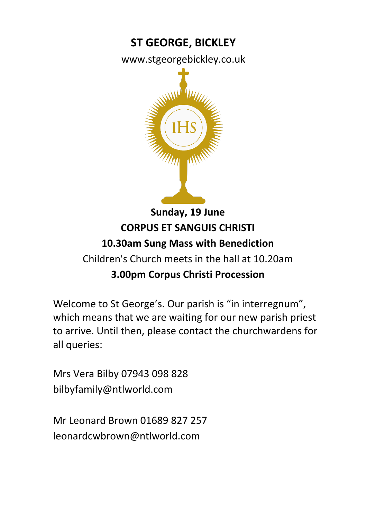# **ST GEORGE, BICKLEY**

www.stgeorgebickley.co.uk



# **Sunday, 19 June CORPUS ET SANGUIS CHRISTI 10.30am Sung Mass with Benediction** Children's Church meets in the hall at 10.20am

### **3.00pm Corpus Christi Procession**

Welcome to St George's. Our parish is "in interregnum", which means that we are waiting for our new parish priest to arrive. Until then, please contact the churchwardens for all queries:

Mrs Vera Bilby 07943 098 828 bilbyfamily@ntlworld.com

Mr Leonard Brown 01689 827 257 leonardcwbrown@ntlworld.com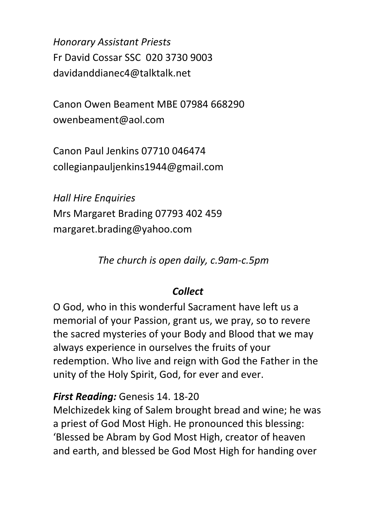*Honorary Assistant Priests* Fr David Cossar SSC 020 3730 9003 davidanddianec4@talktalk.net

Canon Owen Beament MBE 07984 668290 owenbeament@aol.com

Canon Paul Jenkins 07710 046474 collegianpauljenkins1944@gmail.com

*Hall Hire Enquiries* Mrs Margaret Brading 07793 402 459 margaret.brading@yahoo.com

*The church is open daily, c.9am-c.5pm*

#### *Collect*

O God, who in this wonderful Sacrament have left us a memorial of your Passion, grant us, we pray, so to revere the sacred mysteries of your Body and Blood that we may always experience in ourselves the fruits of your redemption. Who live and reign with God the Father in the unity of the Holy Spirit, God, for ever and ever.

#### *First Reading:* Genesis 14. 18-20

Melchizedek king of Salem brought bread and wine; he was a priest of God Most High. He pronounced this blessing: 'Blessed be Abram by God Most High, creator of heaven and earth, and blessed be God Most High for handing over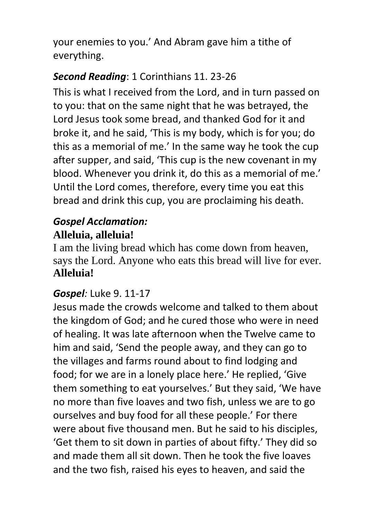your enemies to you.' And Abram gave him a tithe of everything.

# *Second Reading*: 1 Corinthians 11. 23-26

This is what I received from the Lord, and in turn passed on to you: that on the same night that he was betrayed, the Lord Jesus took some bread, and thanked God for it and broke it, and he said, 'This is my body, which is for you; do this as a memorial of me.' In the same way he took the cup after supper, and said, 'This cup is the new covenant in my blood. Whenever you drink it, do this as a memorial of me.' Until the Lord comes, therefore, every time you eat this bread and drink this cup, you are proclaiming his death.

#### *Gospel Acclamation:* **Alleluia, alleluia!**

I am the living bread which has come down from heaven, says the Lord. Anyone who eats this bread will live for ever. **Alleluia!**

### *Gospel:* Luke 9. 11-17

Jesus made the crowds welcome and talked to them about the kingdom of God; and he cured those who were in need of healing. It was late afternoon when the Twelve came to him and said, 'Send the people away, and they can go to the villages and farms round about to find lodging and food; for we are in a lonely place here.' He replied, 'Give them something to eat yourselves.' But they said, 'We have no more than five loaves and two fish, unless we are to go ourselves and buy food for all these people.' For there were about five thousand men. But he said to his disciples, 'Get them to sit down in parties of about fifty.' They did so and made them all sit down. Then he took the five loaves and the two fish, raised his eyes to heaven, and said the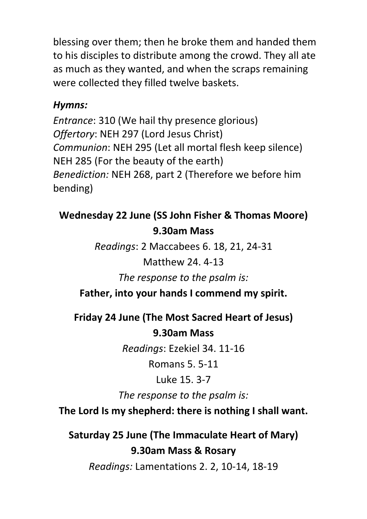blessing over them; then he broke them and handed them to his disciples to distribute among the crowd. They all ate as much as they wanted, and when the scraps remaining were collected they filled twelve baskets.

### *Hymns:*

*Entrance*: 310 (We hail thy presence glorious) *Offertory*: NEH 297 (Lord Jesus Christ) *Communion*: NEH 295 (Let all mortal flesh keep silence) NEH 285 (For the beauty of the earth) *Benediction:* NEH 268, part 2 (Therefore we before him bending)

# **Wednesday 22 June (SS John Fisher & Thomas Moore) 9.30am Mass**

*Readings*: 2 Maccabees 6. 18, 21, 24-31

# Matthew 24. 4-13

*The response to the psalm is:*

**Father, into your hands I commend my spirit.**

**Friday 24 June (The Most Sacred Heart of Jesus) 9.30am Mass**

*Readings*: Ezekiel 34. 11-16

Romans 5. 5-11

Luke 15. 3-7

*The response to the psalm is:*

**The Lord Is my shepherd: there is nothing I shall want.**

**Saturday 25 June (The Immaculate Heart of Mary) 9.30am Mass & Rosary** *Readings:* Lamentations 2. 2, 10-14, 18-19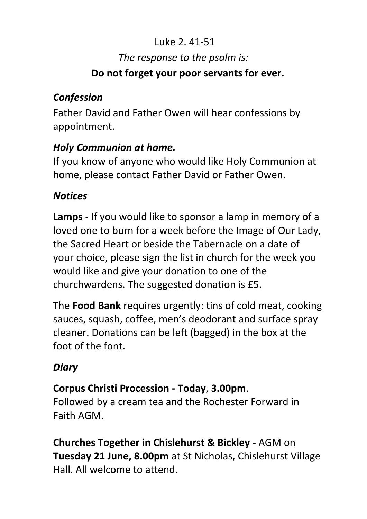# Luke 2. 41-51 *The response to the psalm is:*

#### **Do not forget your poor servants for ever.**

# *Confession*

Father David and Father Owen will hear confessions by appointment.

# *Holy Communion at home.*

If you know of anyone who would like Holy Communion at home, please contact Father David or Father Owen.

### *Notices*

**Lamps** - If you would like to sponsor a lamp in memory of a loved one to burn for a week before the Image of Our Lady, the Sacred Heart or beside the Tabernacle on a date of your choice, please sign the list in church for the week you would like and give your donation to one of the churchwardens. The suggested donation is £5.

The **Food Bank** requires urgently: tins of cold meat, cooking sauces, squash, coffee, men's deodorant and surface spray cleaner. Donations can be left (bagged) in the box at the foot of the font.

# *Diary*

# **Corpus Christi Procession - Today**, **3.00pm**.

Followed by a cream tea and the Rochester Forward in Faith AGM.

**Churches Together in Chislehurst & Bickley** - AGM on **Tuesday 21 June, 8.00pm** at St Nicholas, Chislehurst Village Hall. All welcome to attend.